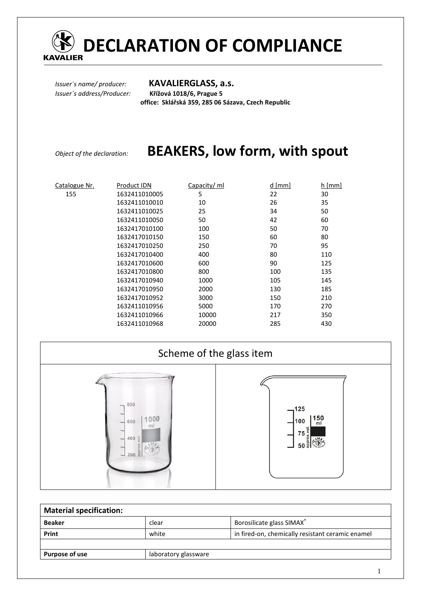

*Issuer´s name/ producer:* **KAVALIERGLASS, a.s.** *Issuer´s address/Producer:* **Křížová 1018/6, Prague 5 office: Sklářská 359, 285 06 Sázava, Czech Republic** 

# *Object of the declaration:* **BEAKERS, low form, with spout**

| Catalogue Nr. | Product IDN   | Capacity/ ml | $d$ [mm] | $h$ [mm] |
|---------------|---------------|--------------|----------|----------|
| 155           | 1632411010005 | 5            | 22       | 30       |
|               | 1632411010010 | 10           | 26       | 35       |
|               | 1632411010025 | 25           | 34       | 50       |
|               | 1632411010050 | 50           | 42       | 60       |
|               | 1632417010100 | 100          | 50       | 70       |
|               | 1632417010150 | 150          | 60       | 80       |
|               | 1632417010250 | 250          | 70       | 95       |
|               | 1632417010400 | 400          | 80       | 110      |
|               | 1632417010600 | 600          | 90       | 125      |
|               | 1632417010800 | 800          | 100      | 135      |
|               | 1632417010940 | 1000         | 105      | 145      |
|               | 1632417010950 | 2000         | 130      | 185      |
|               | 1632417010952 | 3000         | 150      | 210      |
|               | 1632411010956 | 5000         | 170      | 270      |
|               | 1632411010966 | 10000        | 217      | 350      |
|               | 1632411010968 | 20000        | 285      | 430      |

| Scheme of the glass item                                                                                                                               |                                                            |  |
|--------------------------------------------------------------------------------------------------------------------------------------------------------|------------------------------------------------------------|--|
| 800<br>$\overline{\phantom{a}}$<br>1000<br>600<br>$\overline{\phantom{a}}$<br>ml<br>$400 \frac{1}{5}$<br>$\overline{\phantom{0}}$<br>$200 \frac{a}{a}$ | $-125$<br> 150<br>  ml<br>1100<br>$\circ$<br>75<br>ે<br>50 |  |

| <b>Material specification:</b> |                      |                                                  |  |
|--------------------------------|----------------------|--------------------------------------------------|--|
| <b>Beaker</b>                  | clear                | Borosilicate glass SIMAX®                        |  |
| Print                          | white                | in fired-on, chemically resistant ceramic enamel |  |
|                                |                      |                                                  |  |
| Purpose of use                 | laboratory glassware |                                                  |  |
|                                |                      |                                                  |  |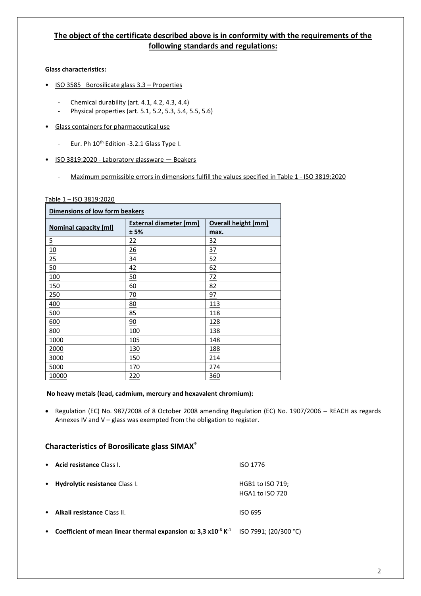# **The object of the certificate described above is in conformity with the requirements of the following standards and regulations:**

## **Glass characteristics:**

- ISO 3585 Borosilicate glass 3.3 Properties
	- Chemical durability (art. 4.1, 4.2, 4.3, 4.4)
	- Physical properties (art. 5.1, 5.2, 5.3, 5.4, 5.5, 5.6)
- Glass containers for pharmaceutical use
	- Eur. Ph 10<sup>th</sup> Edition -3.2.1 Glass Type I.
- ISO 3819:2020 Laboratory glassware Beakers
	- Maximum permissible errors in dimensions fulfill the values specified in Table 1 ISO 3819:2020

#### Table 1 – ISO 3819:2020

| Dimensions of low form beakers |                               |                            |  |
|--------------------------------|-------------------------------|----------------------------|--|
|                                | <b>External diameter [mm]</b> | <b>Overall height [mm]</b> |  |
| <b>Nominal capacity [ml]</b>   | ± 5%                          | max.                       |  |
| $\overline{5}$                 | 22                            | 32                         |  |
| <u>10</u>                      | <u>26</u>                     | <u>37</u>                  |  |
| 25                             | $\frac{34}{5}$                | 52                         |  |
| 50                             | 42                            | 62                         |  |
| 100                            | 50                            | 72                         |  |
| <b>150</b>                     | <u>60</u>                     | 82                         |  |
| 250                            | <u>70</u>                     | 97                         |  |
| 400                            | 80                            | 113                        |  |
| 500                            | 85                            | 118                        |  |
| 600                            | 90                            | 128                        |  |
| 800                            | 100                           | 138                        |  |
| 1000                           | <u>105</u>                    | 148                        |  |
| 2000                           | 130                           | 188                        |  |
| 3000                           | <u>150</u>                    | <u> 214</u>                |  |
| 5000                           | 170                           | 274                        |  |
| 10000                          | 220                           | 360                        |  |

#### **No heavy metals (lead, cadmium, mercury and hexavalent chromium):**

• Regulation (EC) No. 987/2008 of 8 October 2008 amending Regulation (EC) No. 1907/2006 – REACH as regards Annexes IV and V – glass was exempted from the obligation to register.

## **Characteristics of Borosilicate glass SIMAX®**

| $\bullet$ | Acid resistance Class I.       | ISO 1776                                   |
|-----------|--------------------------------|--------------------------------------------|
| $\bullet$ | Hydrolytic resistance Class I. | HGB1 to ISO 719;<br><b>HGA1 to ISO 720</b> |
| $\bullet$ | Alkali resistance Class II.    | ISO 695                                    |

• **Coefficient of mean linear thermal expansion α: 3,3 x10-6 K -1** ISO 7991; (20/300 °C)